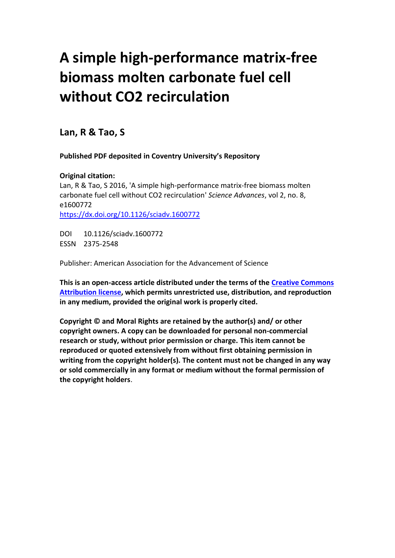# **A simple high-performance matrix-free biomass molten carbonate fuel cell without CO2 recirculation**

**Lan, R & Tao, S**

**Published PDF deposited in Coventry University's Repository**

# **Original citation:**

Lan, R & Tao, S 2016, 'A simple high-performance matrix-free biomass molten carbonate fuel cell without CO2 recirculation' *Science Advances*, vol 2, no. 8, e1600772 [https://dx.doi.org/10.1126/sciadv.1600772](https://dx.doi.org/%5bDOI%5d)

DOI 10.1126/sciadv.1600772 ESSN 2375-2548

Publisher: American Association for the Advancement of Science

**This is an open-access article distributed under the terms of the [Creative Commons](http://creativecommons.org/licenses/by/4.0/)  [Attribution license,](http://creativecommons.org/licenses/by/4.0/) which permits unrestricted use, distribution, and reproduction in any medium, provided the original work is properly cited.**

**Copyright © and Moral Rights are retained by the author(s) and/ or other copyright owners. A copy can be downloaded for personal non-commercial research or study, without prior permission or charge. This item cannot be reproduced or quoted extensively from without first obtaining permission in writing from the copyright holder(s). The content must not be changed in any way or sold commercially in any format or medium without the formal permission of the copyright holders**.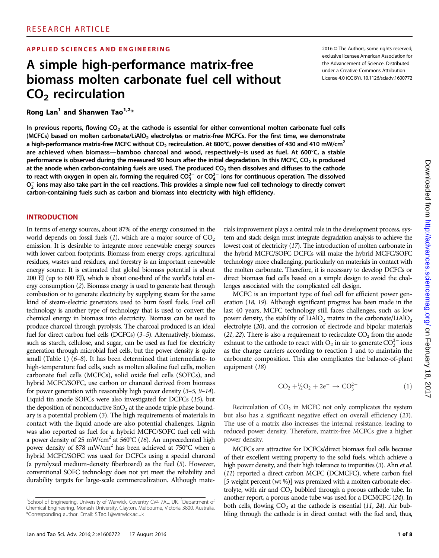#### APPLIED SCIENCES AND ENGINEERING 2016 CHEADTER 2016 © The Authors, some rights reserved;

# A simple high-performance matrix-free biomass molten carbonate fuel cell without  $CO<sub>2</sub>$  recirculation

Rong Lan<sup>1</sup> and Shanwen Tao<sup>1,2\*</sup>

exclusive licensee American Association for the Advancement of Science. Distributed under a Creative Commons Attribution License 4.0 (CC BY). 10.1126/sciadv.1600772

In previous reports, flowing  $CO<sub>2</sub>$  at the cathode is essential for either conventional molten carbonate fuel cells (MCFCs) based on molten carbonate/LiAlO<sub>2</sub> electrolytes or matrix-free MCFCs. For the first time, we demonstrate a high-performance matrix-free MCFC without CO<sub>2</sub> recirculation. At 800°C, power densities of 430 and 410 mW/cm<sup>2</sup> are achieved when biomass—bamboo charcoal and wood, respectively–is used as fuel. At 600°C, a stable performance is observed during the measured 90 hours after the initial degradation. In this MCFC, CO<sub>2</sub> is produced at the anode when carbon-containing fuels are used. The produced  $CO<sub>2</sub>$  then dissolves and diffuses to the cathode to react with oxygen in open air, forming the required CO $^{2-}_3$  or CO $^{2-}_4$  ions for continuous operation. The dissolved  $\rm O_2^-$  ions may also take part in the cell reactions. This provides a simple new fuel cell technology to directly convert carbon-containing fuels such as carbon and biomass into electricity with high efficiency.

#### **INTRODUCTION**

In terms of energy sources, about 87% of the energy consumed in the world depends on fossil fuels  $(1)$ , which are a major source of  $CO<sub>2</sub>$ emission. It is desirable to integrate more renewable energy sources with lower carbon footprints. Biomass from energy crops, agricultural residues, wastes and residues, and forestry is an important renewable energy source. It is estimated that global biomass potential is about 200 EJ (up to 600 EJ), which is about one-third of the world's total energy consumption (2). Biomass energy is used to generate heat through combustion or to generate electricity by supplying steam for the same kind of steam-electric generators used to burn fossil fuels. Fuel cell technology is another type of technology that is used to convert the chemical energy in biomass into electricity. Biomass can be used to produce charcoal through pyrolysis. The charcoal produced is an ideal fuel for direct carbon fuel cells (DCFCs) (3–5). Alternatively, biomass, such as starch, cellulose, and sugar, can be used as fuel for electricity generation through microbial fuel cells, but the power density is quite small (Table 1) (6–8). It has been determined that intermediate- to high-temperature fuel cells, such as molten alkaline fuel cells, molten carbonate fuel cells (MCFCs), solid oxide fuel cells (SOFCs), and hybrid MCFC/SOFC, use carbon or charcoal derived from biomass for power generation with reasonably high power density (3–5, 9–14). Liquid tin anode SOFCs were also investigated for DCFCs (15), but the deposition of nonconductive  $SnO<sub>2</sub>$  at the anode triple-phase boundary is a potential problem (3). The high requirements of materials in contact with the liquid anode are also potential challenges. Lignin was also reported as fuel for a hybrid MCFC/SOFC fuel cell with a power density of 25 mW/cm<sup>2</sup> at 560°C (16). An unprecedented high power density of 878 mW/cm2 has been achieved at 750°C when a hybrid MCFC/SOFC was used for DCFCs using a special charcoal (a pyrolyzed medium-density fiberboard) as the fuel (5). However, conventional SOFC technology does not yet meet the reliability and durability targets for large-scale commercialization. Although mate-

rials improvement plays a central role in the development process, system and stack design must integrate degradation analysis to achieve the lowest cost of electricity (17). The introduction of molten carbonate in the hybrid MCFC/SOFC DCFCs will make the hybrid MCFC/SOFC technology more challenging, particularly on materials in contact with the molten carbonate. Therefore, it is necessary to develop DCFCs or direct biomass fuel cells based on a simple design to avoid the challenges associated with the complicated cell design.

MCFC is an important type of fuel cell for efficient power generation (18, 19). Although significant progress has been made in the last 40 years, MCFC technology still faces challenges, such as low power density, the stability of  $LiAlO<sub>2</sub>$  matrix in the carbonate/LiAlO<sub>2</sub> electrolyte (20), and the corrosion of electrode and bipolar materials  $(21, 22)$ . There is also a requirement to recirculate  $CO<sub>2</sub>$  from the anode exhaust to the cathode to react with  $O_2$  in air to generate  $CO_3^{2-}$  ions as the charge carriers according to reaction 1 and to maintain the carbonate composition. This also complicates the balance-of-plant equipment (18)

$$
CO_2 + \frac{1}{2}O_2 + 2e^- \to CO_3^{2-}
$$
 (1)

Recirculation of  $CO<sub>2</sub>$  in MCFC not only complicates the system but also has a significant negative effect on overall efficiency (23). The use of a matrix also increases the internal resistance, leading to reduced power density. Therefore, matrix-free MCFCs give a higher power density.

MCFCs are attractive for DCFCs/direct biomass fuel cells because of their excellent wetting property to the solid fuels, which achieve a high power density, and their high tolerance to impurities (3). Ahn et al. (11) reported a direct carbon MCFC (DCMCFC), where carbon fuel [5 weight percent (wt %)] was premixed with a molten carbonate electrolyte, with air and  $CO<sub>2</sub>$  bubbled through a porous cathode tube. In another report, a porous anode tube was used for a DCMCFC (24). In both cells, flowing  $CO<sub>2</sub>$  at the cathode is essential (11, 24). Air bubbling through the cathode is in direct contact with the fuel and, thus,

<sup>&</sup>lt;sup>1</sup>School of Engineering, University of Warwick, Coventry CV4 7AL, UK.<sup>2</sup>Department of Chemical Engineering, Monash University, Clayton, Melbourne, Victoria 3800, Australia. \*Corresponding author. Email: S.Tao.1@warwick.ac.uk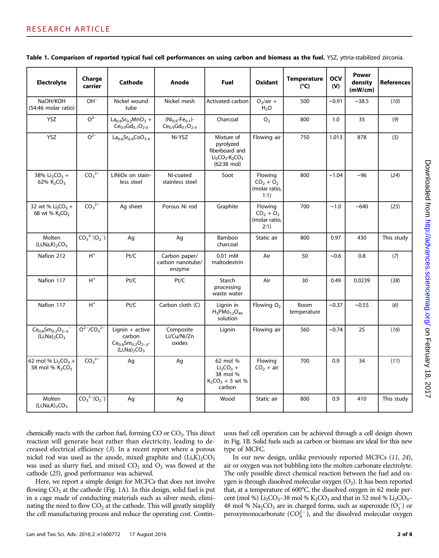| <b>Electrolyte</b>                                               | Charge<br>carrier             | Cathode                                                                                 | Anode                                                               | Fuel                                                                                                           | <b>Oxidant</b>                                   | <b>Temperature</b><br>$(^{\circ}C)$ | <b>OCV</b><br>(V) | <b>Power</b><br>density<br>(mW/cm) | <b>References</b> |
|------------------------------------------------------------------|-------------------------------|-----------------------------------------------------------------------------------------|---------------------------------------------------------------------|----------------------------------------------------------------------------------------------------------------|--------------------------------------------------|-------------------------------------|-------------------|------------------------------------|-------------------|
| NaOH/KOH<br>(54:46 molar ratio)                                  | $OH^-$                        | Nickel wound<br>tube                                                                    | Nickel mesh                                                         | Activated carbon                                                                                               | $O_2/air +$<br>H <sub>2</sub> O                  | 500                                 | $-0.91$           | ~1438.5                            | (10)              |
| YSZ                                                              | $O^{2-}$                      | $La0.8Sr0.2MnO3 +$<br>$Ce_{0.9}Gd_{0.1}O_{2-\delta}$                                    | $(Ni_{0.9}$ -Fe <sub>0.1</sub> )-<br>$Ce_{0.9}Gd_{0.1}O_{2-\delta}$ | Charcoal                                                                                                       | O <sub>2</sub>                                   | 800                                 | 1.0               | 35                                 | (9)               |
| YSZ                                                              | $\overline{O^{2-}}$           | $La_{0.6}Sr_{0.4}CoO_{3-\delta}$                                                        | Ni-YSZ                                                              | Mixture of<br>pyrolyzed<br>fiberboard and<br>$Li2CO3$ -K <sub>2</sub> CO <sub>3</sub><br>$(62:38 \text{ mol})$ | Flowing air                                      | 750                                 | 1.013             | 878                                | (5)               |
| 38% $Li_2CO_3$ +<br>62% $K_2CO_3$                                | CO <sub>3</sub> <sup>2–</sup> | LiNiOx on stain-<br>less steel                                                          | Ni-coated<br>stainless steel                                        | Soot                                                                                                           | Flowing<br>$CO2 + O2$<br>(molar ratio,<br>1:1)   | 800                                 | ~1.04             | ~100                               | (24)              |
| 32 wt % $Li_2CO_3 +$<br>68 wt % K <sub>2</sub> CO <sub>3</sub>   | CO <sub>3</sub> <sup>2–</sup> | Ag sheet                                                                                | Porous Ni rod                                                       | Graphite                                                                                                       | Flowing<br>$CO_2 + O_2$<br>(molar ratio,<br>2:1) | 700                                 | ~1.0              | $~10-640$                          | (25)              |
| Molten<br>$(Li, Na, K)_{2}CO_{3}$                                | $CO_3^2C_2^-(O_2^-)$          | Ag                                                                                      | Ag                                                                  | Bamboo<br>charcoal                                                                                             | Static air                                       | 800                                 | 0.97              | 430                                | This study        |
| Nafion 212                                                       | $H^+$                         | Pt/C                                                                                    | Carbon paper/<br>carbon nanotube/<br>enzyme                         | $0.01$ mM<br>maltodextrin                                                                                      | Air                                              | 50                                  | ~10.6             | 0.8                                | (7)               |
| Nafion 117                                                       | $H^+$                         | Pt/C                                                                                    | Pt/C                                                                | Starch<br>processing<br>waste water                                                                            | Air                                              | 30                                  | 0.49              | 0.0239                             | (38)              |
| Nafion 117                                                       | $\mathsf{H}^+$                | Pt/C                                                                                    | Carbon cloth (C)                                                    | Lignin in<br>$H_3$ PMo <sub>12</sub> O <sub>40</sub><br>solution                                               | Flowing $O2$                                     | Room<br>temperature                 | $-0.37$           | ~10.55                             | (6)               |
| $Ce0.8Sm0.2O2-\delta$<br>$(Li, Na)$ <sub>2</sub> $CO3$           | $O^{2-}/CO_3^{2-}$            | Lignin $+$ active<br>carbon<br>$Ce_{0.8}Sm_{0.2}O_{2-\delta}$ -<br>$(Li, Na)_{2}CO_{3}$ | Composite<br>Li/Cu/Ni/Zn<br>oxides                                  | Lignin                                                                                                         | Flowing air                                      | 560                                 | ~10.74            | 25                                 | (16)              |
| 62 mol % $Li_2CO_3 +$<br>38 mol % K <sub>2</sub> CO <sub>3</sub> | CO <sub>3</sub> <sup>2–</sup> | Aq                                                                                      | Ag                                                                  | 62 mol %<br>$Li2CO3 +$<br>38 mol %<br>$K_2CO_3 + 5$ wt %<br>carbon                                             | Flowing<br>$CO2 + air$                           | 700                                 | 0.9               | 34                                 | (11)              |
| Molten<br>(Li, Na, K) <sub>2</sub> CO <sub>3</sub>               | $CO_3^2C_2^-(O_2^-)$          | Ag                                                                                      | Ag                                                                  | Wood                                                                                                           | Static air                                       | 800                                 | 0.9               | 410                                | This study        |

Table 1. Comparison of reported typical fuel cell performances on using carbon and biomass as the fuel. YSZ, yttria-stabilized zirconia.

chemically reacts with the carbon fuel, forming  $CO$  or  $CO<sub>2</sub>$ . This direct reaction will generate heat rather than electricity, leading to decreased electrical efficiency (3). In a recent report where a porous nickel rod was used as the anode, mixed graphite and  $(Li,K)_{2}CO_{3}$ was used as slurry fuel, and mixed  $CO<sub>2</sub>$  and  $O<sub>2</sub>$  was flowed at the cathode (25), good performance was achieved.

Here, we report a simple design for MCFCs that does not involve flowing  $CO<sub>2</sub>$  at the cathode (Fig. 1A). In this design, solid fuel is put in a cage made of conducting materials such as silver mesh, eliminating the need to flow  $CO<sub>2</sub>$  at the cathode. This will greatly simplify the cell manufacturing process and reduce the operating cost. Contin-

uous fuel cell operation can be achieved through a cell design shown in Fig. 1B. Solid fuels such as carbon or biomass are ideal for this new type of MCFC.

In our new design, unlike previously reported MCFCs (11, 24), air or oxygen was not bubbling into the molten carbonate electrolyte. The only possible direct chemical reaction between the fuel and oxygen is through dissolved molecular oxygen  $(O_2)$ . It has been reported that, at a temperature of 600°C, the dissolved oxygen in 62 mole percent (mol %)  $Li_2CO_3$ –38 mol %  $K_2CO_3$  and that in 52 mol %  $Li_2CO_3$ – 48 mol %  $\text{Na}_2\text{CO}_3$  are in charged forms, such as superoxide  $(\text{O}_2^-)$  or peroxymonocarbonate  $(CO_4^{2-})$ , and the dissolved molecular oxygen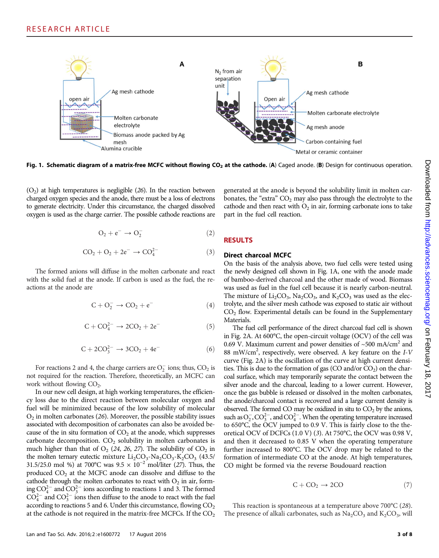

Fig. 1. Schematic diagram of a matrix-free MCFC without flowing CO<sub>2</sub> at the cathode. (A) Caged anode. (B) Design for continuous operation.

 $(O<sub>2</sub>)$  at high temperatures is negligible (26). In the reaction between charged oxygen species and the anode, there must be a loss of electrons to generate electricity. Under this circumstance, the charged dissolved oxygen is used as the charge carrier. The possible cathode reactions are

$$
O_2 + e^- \rightarrow O_2^- \tag{2}
$$

$$
CO_2 + O_2 + 2e^- \rightarrow CO_4^{2-} \tag{3}
$$

The formed anions will diffuse in the molten carbonate and react with the solid fuel at the anode. If carbon is used as the fuel, the reactions at the anode are

$$
C + O_2^- \rightarrow CO_2 + e^- \tag{4}
$$

$$
C + CO_4^{2-} \rightarrow 2CO_2 + 2e^-
$$
 (5)

$$
C + 2CO_3^{2-} \to 3CO_2 + 4e^-
$$
 (6)

For reactions 2 and 4, the charge carriers are  $O_2^-$  ions; thus,  $CO_2$  is not required for the reaction. Therefore, theoretically, an MCFC can work without flowing  $CO<sub>2</sub>$ .

In our new cell design, at high working temperatures, the efficiency loss due to the direct reaction between molecular oxygen and fuel will be minimized because of the low solubility of molecular  $O<sub>2</sub>$  in molten carbonates (26). Moreover, the possible stability issues associated with decomposition of carbonates can also be avoided because of the in situ formation of  $CO<sub>2</sub>$  at the anode, which suppresses carbonate decomposition.  $CO<sub>2</sub>$  solubility in molten carbonates is much higher than that of  $O_2$  (24, 26, 27). The solubility of  $CO_2$  in the molten ternary eutectic mixture  $Li_2CO_3$ -Na<sub>2</sub>CO<sub>3</sub>-K<sub>2</sub>CO<sub>3</sub> (43.5/ 31.5/25.0 mol %) at 700°C was 9.5 × 10*−*<sup>2</sup> mol/liter (27). Thus, the produced CO<sub>2</sub> at the MCFC anode can dissolve and diffuse to the cathode through the molten carbonates to react with  $O_2$  in air, forming  $CO_4^{2-}$  and  $CO_3^{2-}$  ions according to reactions 1 and 3. The formed  $CO_4^{2-}$  and  $CO_3^{2-}$  ions then diffuse to the anode to react with the fuel according to reactions 5 and 6. Under this circumstance, flowing  $CO<sub>2</sub>$ at the cathode is not required in the matrix-free MCFCs. If the  $CO<sub>2</sub>$ 

generated at the anode is beyond the solubility limit in molten carbonates, the "extra"  $CO<sub>2</sub>$  may also pass through the electrolyte to the cathode and then react with  $O_2$  in air, forming carbonate ions to take part in the fuel cell reaction.

# RESULTS

#### Direct charcoal MCFC

On the basis of the analysis above, two fuel cells were tested using the newly designed cell shown in Fig. 1A, one with the anode made of bamboo-derived charcoal and the other made of wood. Biomass was used as fuel in the fuel cell because it is nearly carbon-neutral. The mixture of  $Li_2CO_3$ , Na<sub>2</sub>CO<sub>3</sub>, and  $K_2CO_3$  was used as the electrolyte, and the silver mesh cathode was exposed to static air without  $CO<sub>2</sub>$  flow. Experimental details can be found in the Supplementary Materials.

The fuel cell performance of the direct charcoal fuel cell is shown in Fig. 2A. At 600°C, the open-circuit voltage (OCV) of the cell was 0.69 V. Maximum current and power densities of  $\sim$  500 mA/cm<sup>2</sup> and 88 mW/cm<sup>2</sup>, respectively, were observed. A key feature on the I-V curve (Fig. 2A) is the oscillation of the curve at high current densities. This is due to the formation of gas  $(CO \text{ and/or } CO<sub>2</sub>)$  on the charcoal surface, which may temporarily separate the contact between the silver anode and the charcoal, leading to a lower current. However, once the gas bubble is released or dissolved in the molten carbonates, the anode/charcoal contact is recovered and a large current density is observed. The formed CO may be oxidized in situ to  $CO<sub>2</sub>$  by the anions, such as  $O_2^-, CO_3^{2-}$ , and  $CO_4^{2-}$ . When the operating temperature increased to 650°C, the OCV jumped to 0.9 V. This is fairly close to the theoretical OCV of DCFCs (1.0 V) (3). At 750°C, the OCV was 0.98 V, and then it decreased to 0.85 V when the operating temperature further increased to 800°C. The OCV drop may be related to the formation of intermediate CO at the anode. At high temperatures, CO might be formed via the reverse Boudouard reaction

$$
C + CO_2 \rightarrow 2CO \tag{7}
$$

This reaction is spontaneous at a temperature above 700°C (28). The presence of alkali carbonates, such as  $Na<sub>2</sub>CO<sub>3</sub>$  and  $K<sub>2</sub>CO<sub>3</sub>$ , will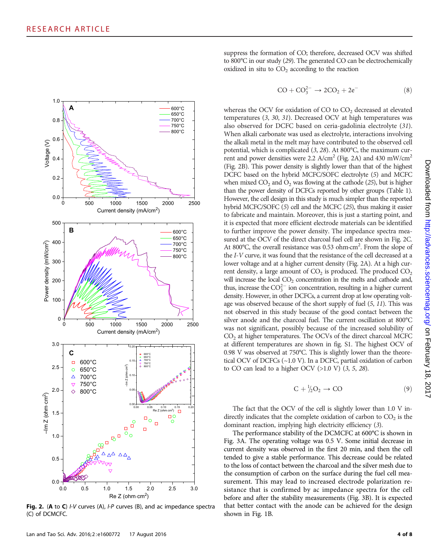

Fig. 2. (A to C)  $IV$  curves (A),  $IP$  curves (B), and ac impedance spectra (C) of DCMCFC.

suppress the formation of CO; therefore, decreased OCV was shifted to 800°C in our study (29). The generated CO can be electrochemically oxidized in situ to  $CO<sub>2</sub>$  according to the reaction

$$
CO + CO_3^{2-} \rightarrow 2CO_2 + 2e^-
$$
 (8)

whereas the OCV for oxidation of CO to  $CO<sub>2</sub>$  decreased at elevated temperatures (3, 30, 31). Decreased OCV at high temperatures was also observed for DCFC based on ceria-gadolinia electrolyte (31). When alkali carbonate was used as electrolyte, interactions involving the alkali metal in the melt may have contributed to the observed cell potential, which is complicated (3, 28). At 800°C, the maximum current and power densities were 2.2  $A/cm<sup>2</sup>$  (Fig. 2A) and 430 mW/cm<sup>2</sup> (Fig. 2B). This power density is slightly lower than that of the highest DCFC based on the hybrid MCFC/SOFC electrolyte (5) and MCFC when mixed  $CO_2$  and  $O_2$  was flowing at the cathode (25), but is higher than the power density of DCFCs reported by other groups (Table 1). However, the cell design in this study is much simpler than the reported hybrid MCFC/SOFC (5) cell and the MCFC (25), thus making it easier to fabricate and maintain. Moreover, this is just a starting point, and it is expected that more efficient electrode materials can be identified to further improve the power density. The impedance spectra measured at the OCV of the direct charcoal fuel cell are shown in Fig. 2C. At 800°C, the overall resistance was 0.53 ohm·cm<sup>2</sup>. From the slope of the I-V curve, it was found that the resistance of the cell decreased at a lower voltage and at a higher current density (Fig. 2A). At a high current density, a large amount of  $CO<sub>2</sub>$  is produced. The produced  $CO<sub>2</sub>$ will increase the local  $CO<sub>2</sub>$  concentration in the melts and cathode and, thus, increase the  $CO_3^{2-}$  ion concentration, resulting in a higher current density. However, in other DCFCs, a current drop at low operating voltage was observed because of the short supply of fuel (5, 11). This was not observed in this study because of the good contact between the silver anode and the charcoal fuel. The current oscillation at 800°C was not significant, possibly because of the increased solubility of  $CO<sub>2</sub>$  at higher temperatures. The OCVs of the direct charcoal MCFC at different temperatures are shown in fig. S1. The highest OCV of 0.98 V was observed at 750°C. This is slightly lower than the theoretical OCV of DCFCs (~1.0 V). In a DCFC, partial oxidation of carbon to CO can lead to a higher OCV  $(>1.0 \text{ V})$   $(3, 5, 28)$ .

$$
C + \frac{1}{2}O_2 \to CO
$$
 (9)

The fact that the OCV of the cell is slightly lower than 1.0 V indirectly indicates that the complete oxidation of carbon to  $CO<sub>2</sub>$  is the dominant reaction, implying high electricity efficiency (3).

The performance stability of the DCMCFC at 600°C is shown in Fig. 3A. The operating voltage was 0.5 V. Some initial decrease in current density was observed in the first 20 min, and then the cell tended to give a stable performance. This decrease could be related to the loss of contact between the charcoal and the silver mesh due to the consumption of carbon on the surface during the fuel cell measurement. This may lead to increased electrode polarization resistance that is confirmed by ac impedance spectra for the cell before and after the stability measurements (Fig. 3B). It is expected that better contact with the anode can be achieved for the design shown in Fig. 1B.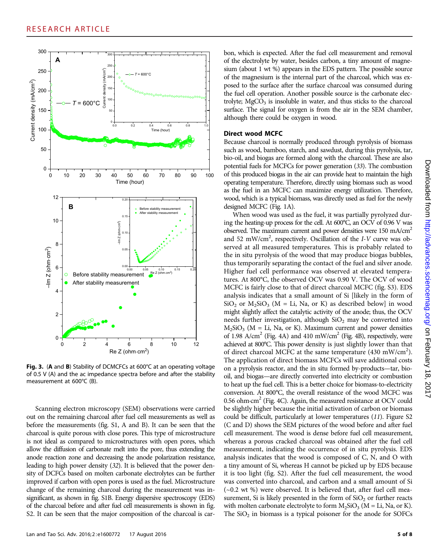

Fig. 3. (A and B) Stability of DCMCFCs at 600°C at an operating voltage of 0.5 V (A) and the ac impedance spectra before and after the stability measurement at 600°C (B).

Scanning electron microscopy (SEM) observations were carried out on the remaining charcoal after fuel cell measurements as well as before the measurements (fig. S1, A and B). It can be seen that the charcoal is quite porous with close pores. This type of microstructure is not ideal as compared to microstructures with open pores, which allow the diffusion of carbonate melt into the pore, thus extending the anode reaction zone and decreasing the anode polarization resistance, leading to high power density (32). It is believed that the power density of DCFCs based on molten carbonate electrolytes can be further improved if carbon with open pores is used as the fuel. Microstructure change of the remaining charcoal during the measurement was insignificant, as shown in fig. S1B. Energy dispersive spectroscopy (EDS) of the charcoal before and after fuel cell measurements is shown in fig. S2. It can be seen that the major composition of the charcoal is car-

Lan and Tao Sci. Adv. 2016; 2: e1600772 17 August 2016 5 of 8

bon, which is expected. After the fuel cell measurement and removal of the electrolyte by water, besides carbon, a tiny amount of magnesium (about 1 wt %) appears in the EDS pattern. The possible source of the magnesium is the internal part of the charcoal, which was exposed to the surface after the surface charcoal was consumed during the fuel cell operation. Another possible source is the carbonate electrolyte;  $MgCO<sub>3</sub>$  is insoluble in water, and thus sticks to the charcoal surface. The signal for oxygen is from the air in the SEM chamber, although there could be oxygen in wood.

#### Direct wood MCFC

Because charcoal is normally produced through pyrolysis of biomass such as wood, bamboo, starch, and sawdust, during this pyrolysis, tar, bio-oil, and biogas are formed along with the charcoal. These are also potential fuels for MCFCs for power generation (33). The combustion of this produced biogas in the air can provide heat to maintain the high operating temperature. Therefore, directly using biomass such as wood as the fuel in an MCFC can maximize energy utilization. Therefore, wood, which is a typical biomass, was directly used as fuel for the newly designed MCFC (Fig. 1A).

When wood was used as the fuel, it was partially pyrolyzed during the heating-up process for the cell. At 600°C, an OCV of 0.96 V was observed. The maximum current and power densities were 150 mA/cm<sup>2</sup> and 52 mW/cm<sup>2</sup>, respectively. Oscillation of the I-V curve was observed at all measured temperatures. This is probably related to the in situ pyrolysis of the wood that may produce biogas bubbles, thus temporarily separating the contact of the fuel and silver anode. Higher fuel cell performance was observed at elevated temperatures. At 800°C, the observed OCV was 0.90 V. The OCV of wood MCFC is fairly close to that of direct charcoal MCFC (fig. S3). EDS analysis indicates that a small amount of Si [likely in the form of  $SiO<sub>2</sub>$  or  $M<sub>2</sub>SiO<sub>3</sub>$  (M = Li, Na, or K) as described below] in wood might slightly affect the catalytic activity of the anode; thus, the OCV needs further investigation, although  $SiO<sub>2</sub>$  may be converted into  $M_2SiO_3$  (M = Li, Na, or K). Maximum current and power densities of 1.98  $A/cm<sup>2</sup>$  (Fig. 4A) and 410 mW/cm<sup>2</sup> (Fig. 4B), respectively, were achieved at 800°C. This power density is just slightly lower than that of direct charcoal MCFC at the same temperature (430 mW/cm<sup>2</sup>). The application of direct biomass MCFCs will save additional costs on a pyrolysis reactor, and the in situ formed by-products—tar, biooil, and biogas—are directly converted into electricity or combustion to heat up the fuel cell. This is a better choice for biomass-to-electricity conversion. At 800°C, the overall resistance of the wood MCFC was 0.56 ohm $\cdot$ cm<sup>2</sup> (Fig. 4C). Again, the measured resistance at OCV could be slightly higher because the initial activation of carbon or biomass could be difficult, particularly at lower temperatures (11). Figure S2 (C and D) shows the SEM pictures of the wood before and after fuel cell measurement. The wood is dense before fuel cell measurement, whereas a porous cracked charcoal was obtained after the fuel cell measurement, indicating the occurrence of in situ pyrolysis. EDS analysis indicates that the wood is composed of C, N, and O with a tiny amount of Si, whereas H cannot be picked up by EDS because it is too light (fig. S2). After the fuel cell measurement, the wood was converted into charcoal, and carbon and a small amount of Si (~0.2 wt %) were observed. It is believed that, after fuel cell measurement, Si is likely presented in the form of  $SiO<sub>2</sub>$  or further reacts with molten carbonate electrolyte to form  $M_2SiO_3$  (M = Li, Na, or K). The  $SiO<sub>2</sub>$  in biomass is a typical poisoner for the anode for SOFCs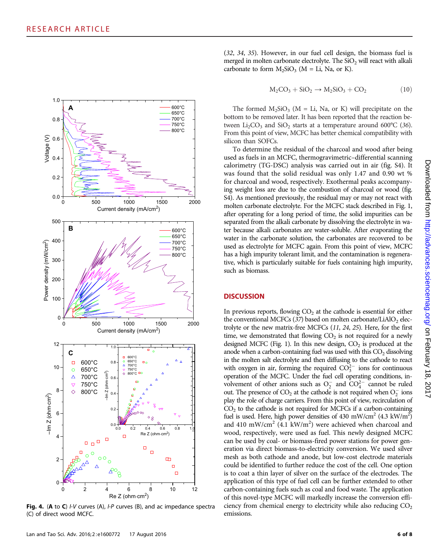

Fig. 4. (A to C)  $IV$  curves (A),  $IP$  curves (B), and ac impedance spectra (C) of direct wood MCFC.

Lan and Tao Sci. Adv. 2016; 2: e1600772 17 August 2016 6 of 8

(32, 34, 35). However, in our fuel cell design, the biomass fuel is merged in molten carbonate electrolyte. The  $SiO<sub>2</sub>$  will react with alkali carbonate to form  $M_2SiO_3$  (M = Li, Na, or K).

$$
M_2CO_3 + SiO_2 \rightarrow M_2SiO_3 + CO_2 \qquad (10)
$$

The formed  $M_2SiO_3$  (M = Li, Na, or K) will precipitate on the bottom to be removed later. It has been reported that the reaction between  $Li_2CO_3$  and  $SiO_2$  starts at a temperature around 600°C (36). From this point of view, MCFC has better chemical compatibility with silicon than SOFCs.

To determine the residual of the charcoal and wood after being used as fuels in an MCFC, thermogravimetric–differential scanning calorimetry (TG-DSC) analysis was carried out in air (fig. S4). It was found that the solid residual was only 1.47 and 0.90 wt % for charcoal and wood, respectively. Exothermal peaks accompanying weight loss are due to the combustion of charcoal or wood (fig. S4). As mentioned previously, the residual may or may not react with molten carbonate electrolyte. For the MCFC stack described in Fig. 1, after operating for a long period of time, the solid impurities can be separated from the alkali carbonate by dissolving the electrolyte in water because alkali carbonates are water-soluble. After evaporating the water in the carbonate solution, the carbonates are recovered to be used as electrolyte for MCFC again. From this point of view, MCFC has a high impurity tolerant limit, and the contamination is regenerative, which is particularly suitable for fuels containing high impurity, such as biomass.

#### **DISCUSSION**

In previous reports, flowing  $CO<sub>2</sub>$  at the cathode is essential for either the conventional MCFCs  $(37)$  based on molten carbonate/LiAlO<sub>2</sub> electrolyte or the new matrix-free MCFCs (11, 24, 25). Here, for the first time, we demonstrated that flowing  $CO<sub>2</sub>$  is not required for a newly designed MCFC (Fig. 1). In this new design,  $CO<sub>2</sub>$  is produced at the anode when a carbon-containing fuel was used with this  $CO<sub>2</sub>$  dissolving in the molten salt electrolyte and then diffusing to the cathode to react with oxygen in air, forming the required  $CO_3^{2-}$  ions for continuous operation of the MCFC. Under the fuel cell operating conditions, involvement of other anions such as  $O_2^-$  and  $CO_4^{2-}$  cannot be ruled out. The presence of  $CO_2$  at the cathode is not required when  $O_2^-$  ions play the role of charge carriers. From this point of view, recirculation of  $CO<sub>2</sub>$  to the cathode is not required for MCFCs if a carbon-containing fuel is used. Here, high power densities of 430 mW/cm<sup>2</sup> (4.3 kW/m<sup>2</sup>) and 410 mW/cm<sup>2</sup> (4.1 kW/m<sup>2</sup>) were achieved when charcoal and wood, respectively, were used as fuel. This newly designed MCFC can be used by coal- or biomass-fired power stations for power generation via direct biomass-to-electricity conversion. We used silver mesh as both cathode and anode, but low-cost electrode materials could be identified to further reduce the cost of the cell. One option is to coat a thin layer of silver on the surface of the electrodes. The application of this type of fuel cell can be further extended to other carbon-containing fuels such as coal and food waste. The application of this novel-type MCFC will markedly increase the conversion efficiency from chemical energy to electricity while also reducing  $CO<sub>2</sub>$ emissions.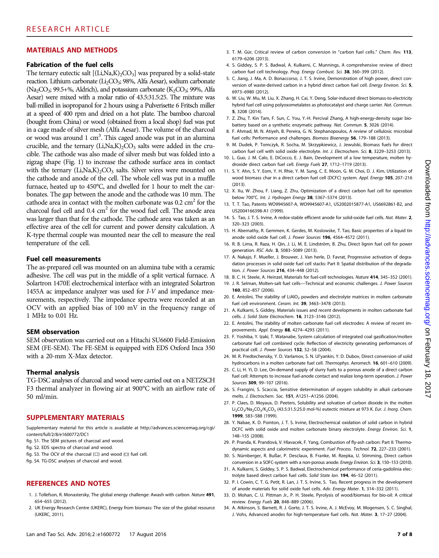# MATERIALS AND METHODS

#### Fabrication of the fuel cells

The ternary eutectic salt  $[(Li,Na,K)_2CO_3]$  was prepared by a solid-state reaction. Lithium carbonate (Li<sub>2</sub>CO<sub>3</sub>; 98%, Alfa Aesar), sodium carbonate (Na<sub>2</sub>CO<sub>3</sub>; 99.5+%, Aldrich), and potassium carbonate (K<sub>2</sub>CO<sub>3</sub>; 99%, Alfa Aesar) were mixed with a molar ratio of 43.5:31.5:25. The mixture was ball-milled in isopropanol for 2 hours using a Pulverisette 6 Fritsch miller at a speed of 400 rpm and dried on a hot plate. The bamboo charcoal (bought from China) or wood (obtained from a local shop) fuel was put in a cage made of silver mesh (Alfa Aesar). The volume of the charcoal or wood was around 1 cm<sup>3</sup>. This caged anode was put in an alumina crucible, and the ternary  $(Li, Na,K)_{2}CO_{3}$  salts were added in the crucible. The cathode was also made of silver mesh but was folded into a zigzag shape (Fig. 1) to increase the cathode surface area in contact with the ternary  $(Li, Na,K)_{2}CO_{3}$  salts. Silver wires were mounted on the cathode and anode of the cell. The whole cell was put in a muffle furnace, heated up to 450°C, and dwelled for 1 hour to melt the carbonates. The gap between the anode and the cathode was 10 mm. The cathode area in contact with the molten carbonate was  $0.2 \text{ cm}^2$  for the charcoal fuel cell and  $0.4 \text{ cm}^2$  for the wood fuel cell. The anode area was larger than that for the cathode. The cathode area was taken as an effective area of the cell for current and power density calculation. A K-type thermal couple was mounted near the cell to measure the real temperature of the cell.

#### Fuel cell measurements

The as-prepared cell was mounted on an alumina tube with a ceramic adhesive. The cell was put in the middle of a split vertical furnace. A Solartron 1470E electrochemical interface with an integrated Solartron 1455A ac impedance analyzer was used for I-V and impedance measurements, respectively. The impedance spectra were recorded at an OCV with an applied bias of 100 mV in the frequency range of 1 MHz to 0.01 Hz.

# SEM observation

SEM observation was carried out on a Hitachi SU6600 Field-Emission SEM (FE-SEM). The FE-SEM is equipped with EDS Oxford Inca 350 with a 20-mm X-Max detector.

#### Thermal analysis

TG-DSC analyses of charcoal and wood were carried out on a NETZSCH F3 thermal analyzer in flowing air at 900°C with an airflow rate of 50 ml/min.

# SUPPLEMENTARY MATERIALS

Supplementary material for this article is available at [http://advances.sciencemag.org/cgi/](http://advances.sciencemag.org/cgi/content/full/2/8/e1600772/DC1) [content/full/2/8/e1600772/DC1](http://advances.sciencemag.org/cgi/content/full/2/8/e1600772/DC1)

- fig. S1. The SEM pictures of charcoal and wood.
- fig. S2. EDS spectra of charcoal and wood.
- fig. S3. The OCV of the charcoal (□) and wood (○) fuel cell.

fig. S4. TG-DSC analyses of charcoal and wood.

# REFERENCES AND NOTES

- 1. J. Tollefson, R. Monastersky, The global energy challenge: Awash with carbon. Nature 491, 654–655 (2012).
- 2. UK Energy Research Centre (UKERC), Energy from biomass: The size of the global resource (UKERC, 2011).
- 3. T. M. Gür, Critical review of carbon conversion in "carbon fuel cells." Chem. Rev. 113, 6179–6206 (2013).
- 4. S. Giddey, S. P. S. Badwal, A. Kulkarni, C. Munnings, A comprehensive review of direct carbon fuel cell technology. Prog. Energy Combust. Sci. 38, 360–399 (2012).
- 5. C. Jiang, J. Ma, A. D. Bonaccorso, J. T. S. Irvine, Demonstration of high power, direct conversion of waste-derived carbon in a hybrid direct carbon fuel cell. Energy Environ. Sci. 5, 6973–6980 (2012).
- 6. W. Liu, W. Mu, M. Liu, X. Zhang, H. Cai, Y. Deng, Solar-induced direct biomass-to-electricity hybrid fuel cell using polyoxometalates as photocatalyst and charge carrier. Nat. Commun. 5, 3208 (2014).
- 7. Z. Zhu, T. Kin Tam, F. Sun, C. You, Y.-H. Percival Zhang, A high-energy-density sugar biobattery based on a synthetic enzymatic pathway. Nat. Commun. 5, 3026 (2014).
- 8. F. Ahmad, M. N. Atiyeh, B. Pereira, G. N. Stephanopoulos, A review of cellulosic microbial fuel cells: Performance and challenges. Biomass Bioenergy 56, 179–188 (2013).
- 9. M. Dudek, P. Tomczyk, R. Socha, M. Skrzypkiewicz, J. Jewulski, Biomass fuels for direct carbon fuel cell with solid oxide electrolyte. Int. J. Electrochem. Sci. 8, 3229–3253 (2013).
- 10. L. Guo, J. M. Calo, E. DiCocco, E. J. Bain, Development of a low temperature, molten hydroxide direct carbon fuel cell. Energy Fuels 27, 1712–1719 (2013).
- 11. S. Y. Ahn, S. Y. Eom, Y. H. Rhie, Y. M. Sung, C. E. Moon, G. M. Choi, D. J. Kim, Utilization of wood biomass char in a direct carbon fuel cell (DCFC) system. Appl. Energy 105, 207–216 (2013).
- 12. X. Xu, W. Zhou, F. Liang, Z. Zhu, Optimization of a direct carbon fuel cell for operation below 700°C. Int. J. Hydrogen Energy 38, 5367–5374 (2013).
- 13. T. T. Tao, Patents WO9945607-A, WO9945607-A1, US2002015877-A1, US6692861-B2, and US2004166398-A1 (1999).
- 14. S. Tao, J. T. S. Irvine, A redox-stable efficient anode for solid-oxide fuel cells. Nat. Mater. 2, 320–323 (2003).
- 15. H. Abernathy, R. Gemmen, K. Gerdes, M. Koslowske, T. Tao, Basic properties of a liquid tin anode solid oxide fuel cell. J. Power Sources 196, 4564–4572 (2011).
- 16. R. B. Lima, R. Raza, H. Qin, J. Li, M. E. Lindström, B. Zhu, Direct lignin fuel cell for power generation. RSC Adv. 3, 5083–5089 (2013).
- 17. A. Nakajo, F. Mueller, J. Brouwer, J. Van herle, D. Favrat, Progressive activation of degradation processes in solid oxide fuel cell stacks: Part II: Spatial distribution of the degradation. J. Power Sources 216, 434–448 (2012).
- 18. B. C. H. Steele, A. Heinzel, Materials for fuel-cell technologies. Nature 414, 345–352 (2001).
- 19. J. R. Selman, Molten-salt fuel cells-Technical and economic challenges. J. Power Sources 160, 852–857 (2006).
- 20. E. Antolini, The stability of LiAlO<sub>2</sub> powders and electrolyte matrices in molten carbonate fuel cell environment. Ceram. Int. 39, 3463–3478 (2013).
- 21. A. Kulkarni, S. Giddey, Materials issues and recent developments in molten carbonate fuel cells. J. Solid State Electrochem. 16, 3123–3146 (2012).
- 22. E. Antolini, The stability of molten carbonate fuel cell electrodes: A review of recent improvements. Appl. Energy 88, 4274–4293 (2011).
- 23. F. Yoshiba, Y. Izaki, T. Watanabe, System calculation of integrated coal gasification/molten carbonate fuel cell combined cycle: Reflection of electricity generating performances of practical cell. J. Power Sources 132, 52–58 (2004).
- 24. M. R. Predtechensky, Y. D. Varlamov, S. N. Ul'yankin, Y. D. Dubov, Direct conversion of solid hydrocarbons in a molten carbonate fuel cell. Thermophys. Aeromech. 16, 601–610 (2009).
- 25. C. Li, H. Yi, D. Lee, On-demand supply of slurry fuels to a porous anode of a direct carbon fuel cell: Attempts to increase fuel-anode contact and realize long-term operation. J. Power Sources 309, 99-107 (2016).
- 26. S. Frangini, S. Scaccia, Sensitive determination of oxygen solubility in alkali carbonate melts. J. Electrochem. Soc. 151, A1251–A1256 (2004).
- 27. P. Claes, D. Moyaux, D. Peeters, Solubility and solvation of carbon dioxide in the molten Li<sub>2</sub>CO<sub>3</sub>/Na<sub>2</sub>CO<sub>3</sub>/K<sub>2</sub>CO<sub>3</sub> (43.5:31.5:25.0 mol-%) eutectic mixture at 973 K. Eur. J. Inorg. Chem. 1999, 583–588 (1999).
- 28. Y. Nabae, K. D. Pointon, J. T. S. Irvine, Electrochemical oxidation of solid carbon in hybrid DCFC with solid oxide and molten carbonate binary electrolyte. Energy Environ. Sci. 1, 148–155 (2008).
- 29. P. Pranda, K. Prandová, V. Hlavacek, F. Yang, Combustion of fly-ash carbon: Part II: Thermodynamic aspects and calorimetric experiment. Fuel Process. Technol. 72, 227–233 (2001).
- 30. S. Nürnberger, R. Bußar, P. Desclaux, B. Franke, M. Rzepka, U. Stimming, Direct carbon conversion in a SOFC-system with a non-porous anode. Energy Environ. Sci. 3, 150–153 (2010).
- 31. A. Kulkarni, S. Giddey, S. P. S. Badwal, Electrochemical performance of ceria-gadolinia electrolyte based direct carbon fuel cells. Solid State Ion. 194, 46–52 (2011).
- 32. P. I. Cowin, C. T. G. Petit, R. Lan, J. T. S. Irvine, S. Tao, Recent progress in the development of anode materials for solid oxide fuel cells. Adv. Energy Mater. 1, 314–332 (2011).
- 33. D. Mohan, C. U. Pittman Jr., P. H. Steele, Pyrolysis of wood/biomass for bio-oil: A critical review. Energy Fuels 20, 848–889 (2006).
- 34. A. Atkinson, S. Barnett, R. J. Gorte, J. T. S. Irvine, A. J. McEvoy, M. Mogensen, S. C. Singhal, J. Vohs, Advanced anodes for high-temperature fuel cells. Nat. Mater. 3, 17-27 (2004).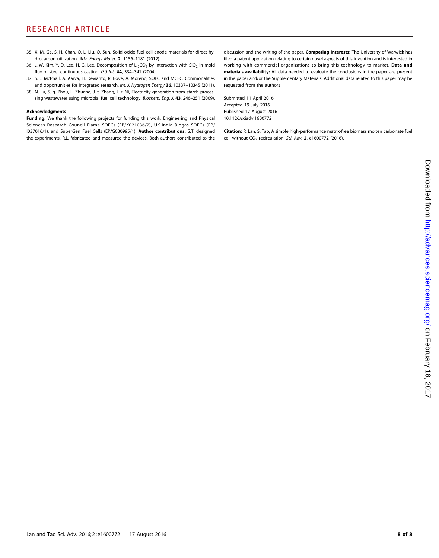- 35. X.-M. Ge, S.-H. Chan, Q.-L. Liu, Q. Sun, Solid oxide fuel cell anode materials for direct hydrocarbon utilization. Adv. Energy Mater. 2, 1156–1181 (2012).
- 36. J.-W. Kim, Y.-D. Lee, H.-G. Lee, Decomposition of  $Li<sub>2</sub>CO<sub>3</sub>$  by interaction with SiO<sub>2</sub> in mold flux of steel continuous casting. ISIJ Int. 44, 334-341 (2004).
- 37. S. J. McPhail, A. Aarva, H. Devianto, R. Bove, A. Moreno, SOFC and MCFC: Commonalities and opportunities for integrated research. Int. J. Hydrogen Energy 36, 10337-10345 (2011).
- 38. N. Lu, S.-g. Zhou, L. Zhuang, J.-t. Zhang, J.-r. Ni, Electricity generation from starch processing wastewater using microbial fuel cell technology. Biochem. Eng. J. 43, 246-251 (2009).

#### Acknowledgments

Funding: We thank the following projects for funding this work: Engineering and Physical Sciences Research Council Flame SOFCs (EP/K021036/2), UK-India Biogas SOFCs (EP/ I037016/1), and SuperGen Fuel Cells (EP/G030995/1). Author contributions: S.T. designed the experiments. R.L. fabricated and measured the devices. Both authors contributed to the

discussion and the writing of the paper. Competing interests: The University of Warwick has filed a patent application relating to certain novel aspects of this invention and is interested in working with commercial organizations to bring this technology to market. Data and materials availability: All data needed to evaluate the conclusions in the paper are present in the paper and/or the Supplementary Materials. Additional data related to this paper may be requested from the authors

Submitted 11 April 2016 Accepted 19 July 2016 Published 17 August 2016 10.1126/sciadv.1600772

Citation: R. Lan, S. Tao, A simple high-performance matrix-free biomass molten carbonate fuel cell without  $CO<sub>2</sub>$  recirculation. Sci. Adv. 2, e1600772 (2016).